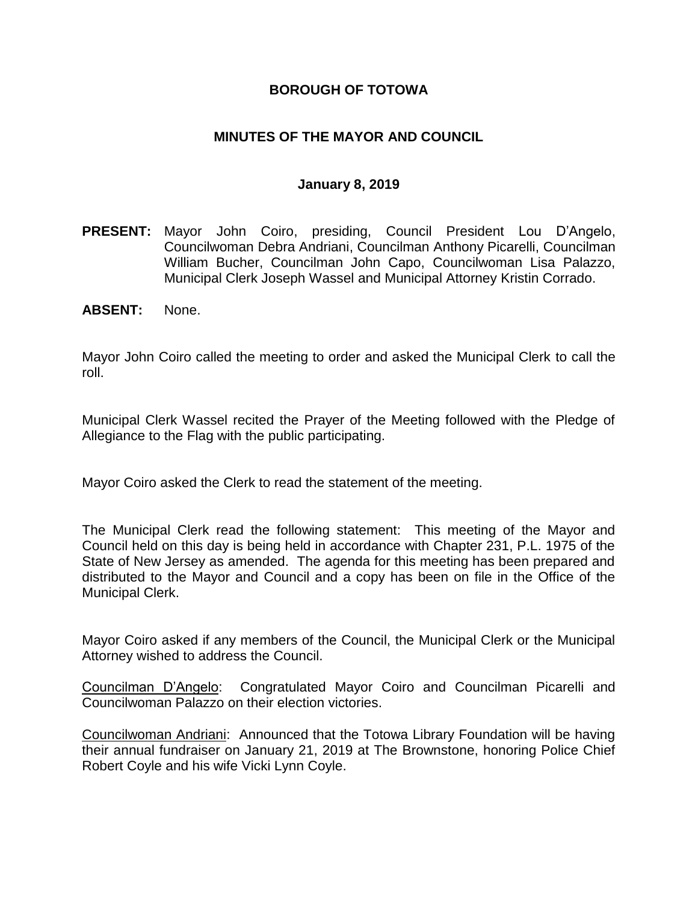### **BOROUGH OF TOTOWA**

### **MINUTES OF THE MAYOR AND COUNCIL**

#### **January 8, 2019**

- **PRESENT:** Mayor John Coiro, presiding, Council President Lou D'Angelo, Councilwoman Debra Andriani, Councilman Anthony Picarelli, Councilman William Bucher, Councilman John Capo, Councilwoman Lisa Palazzo, Municipal Clerk Joseph Wassel and Municipal Attorney Kristin Corrado.
- **ABSENT:** None.

Mayor John Coiro called the meeting to order and asked the Municipal Clerk to call the roll.

Municipal Clerk Wassel recited the Prayer of the Meeting followed with the Pledge of Allegiance to the Flag with the public participating.

Mayor Coiro asked the Clerk to read the statement of the meeting.

The Municipal Clerk read the following statement: This meeting of the Mayor and Council held on this day is being held in accordance with Chapter 231, P.L. 1975 of the State of New Jersey as amended. The agenda for this meeting has been prepared and distributed to the Mayor and Council and a copy has been on file in the Office of the Municipal Clerk.

Mayor Coiro asked if any members of the Council, the Municipal Clerk or the Municipal Attorney wished to address the Council.

Councilman D'Angelo: Congratulated Mayor Coiro and Councilman Picarelli and Councilwoman Palazzo on their election victories.

Councilwoman Andriani: Announced that the Totowa Library Foundation will be having their annual fundraiser on January 21, 2019 at The Brownstone, honoring Police Chief Robert Coyle and his wife Vicki Lynn Coyle.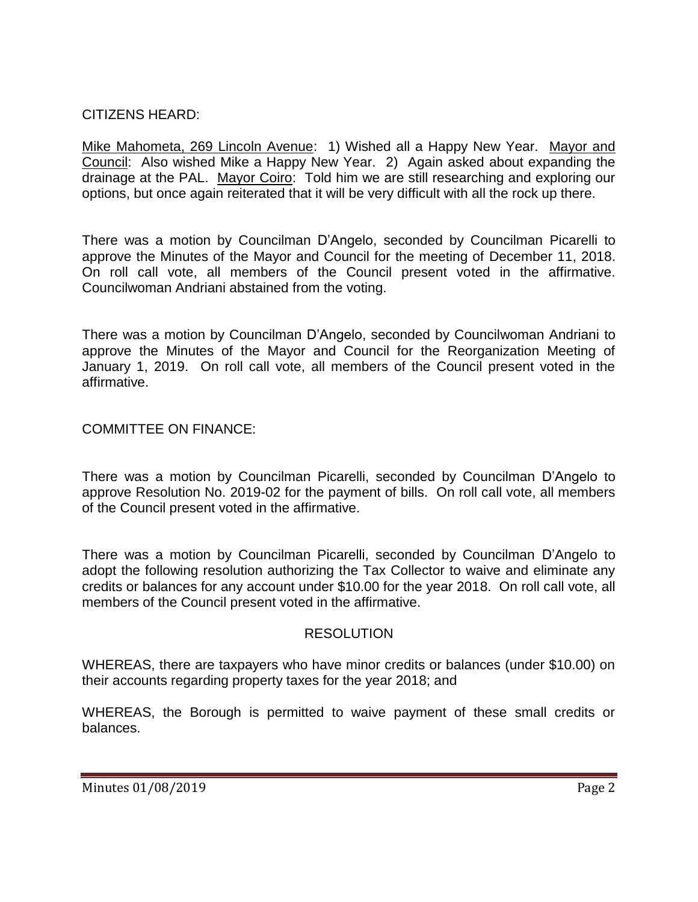## CITIZENS HEARD:

Mike Mahometa, 269 Lincoln Avenue: 1) Wished all a Happy New Year. Mayor and Council: Also wished Mike a Happy New Year. 2) Again asked about expanding the drainage at the PAL. Mayor Coiro: Told him we are still researching and exploring our options, but once again reiterated that it will be very difficult with all the rock up there.

There was a motion by Councilman D'Angelo, seconded by Councilman Picarelli to approve the Minutes of the Mayor and Council for the meeting of December 11, 2018. On roll call vote, all members of the Council present voted in the affirmative. Councilwoman Andriani abstained from the voting.

There was a motion by Councilman D'Angelo, seconded by Councilwoman Andriani to approve the Minutes of the Mayor and Council for the Reorganization Meeting of January 1, 2019. On roll call vote, all members of the Council present voted in the affirmative.

### COMMITTEE ON FINANCE:

There was a motion by Councilman Picarelli, seconded by Councilman D'Angelo to approve Resolution No. 2019-02 for the payment of bills. On roll call vote, all members of the Council present voted in the affirmative.

There was a motion by Councilman Picarelli, seconded by Councilman D'Angelo to adopt the following resolution authorizing the Tax Collector to waive and eliminate any credits or balances for any account under \$10.00 for the year 2018. On roll call vote, all members of the Council present voted in the affirmative.

### **RESOLUTION**

WHEREAS, there are taxpayers who have minor credits or balances (under \$10.00) on their accounts regarding property taxes for the year 2018; and

WHEREAS, the Borough is permitted to waive payment of these small credits or balances.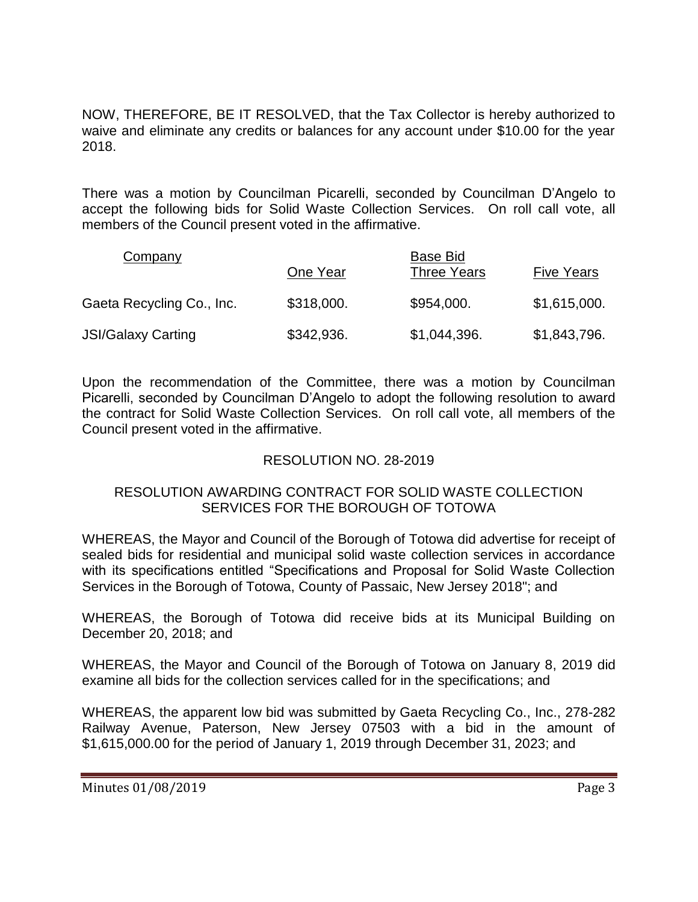NOW, THEREFORE, BE IT RESOLVED, that the Tax Collector is hereby authorized to waive and eliminate any credits or balances for any account under \$10.00 for the year 2018.

There was a motion by Councilman Picarelli, seconded by Councilman D'Angelo to accept the following bids for Solid Waste Collection Services. On roll call vote, all members of the Council present voted in the affirmative.

| <b>Company</b>            |            | Base Bid           |                   |
|---------------------------|------------|--------------------|-------------------|
|                           | One Year   | <b>Three Years</b> | <b>Five Years</b> |
| Gaeta Recycling Co., Inc. | \$318,000. | \$954,000.         | \$1,615,000.      |
| <b>JSI/Galaxy Carting</b> | \$342,936. | \$1,044,396.       | \$1,843,796.      |

Upon the recommendation of the Committee, there was a motion by Councilman Picarelli, seconded by Councilman D'Angelo to adopt the following resolution to award the contract for Solid Waste Collection Services. On roll call vote, all members of the Council present voted in the affirmative.

## RESOLUTION NO. 28-2019

### RESOLUTION AWARDING CONTRACT FOR SOLID WASTE COLLECTION SERVICES FOR THE BOROUGH OF TOTOWA

WHEREAS, the Mayor and Council of the Borough of Totowa did advertise for receipt of sealed bids for residential and municipal solid waste collection services in accordance with its specifications entitled "Specifications and Proposal for Solid Waste Collection Services in the Borough of Totowa, County of Passaic, New Jersey 2018"; and

WHEREAS, the Borough of Totowa did receive bids at its Municipal Building on December 20, 2018; and

WHEREAS, the Mayor and Council of the Borough of Totowa on January 8, 2019 did examine all bids for the collection services called for in the specifications; and

WHEREAS, the apparent low bid was submitted by Gaeta Recycling Co., Inc., 278-282 Railway Avenue, Paterson, New Jersey 07503 with a bid in the amount of \$1,615,000.00 for the period of January 1, 2019 through December 31, 2023; and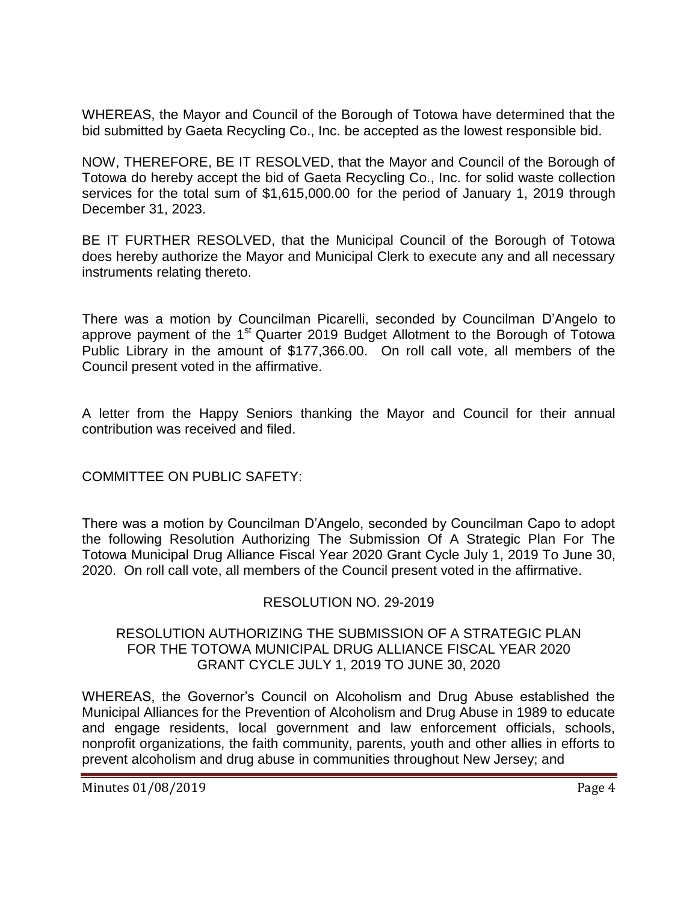WHEREAS, the Mayor and Council of the Borough of Totowa have determined that the bid submitted by Gaeta Recycling Co., Inc. be accepted as the lowest responsible bid.

NOW, THEREFORE, BE IT RESOLVED, that the Mayor and Council of the Borough of Totowa do hereby accept the bid of Gaeta Recycling Co., Inc. for solid waste collection services for the total sum of \$1,615,000.00 for the period of January 1, 2019 through December 31, 2023.

BE IT FURTHER RESOLVED, that the Municipal Council of the Borough of Totowa does hereby authorize the Mayor and Municipal Clerk to execute any and all necessary instruments relating thereto.

There was a motion by Councilman Picarelli, seconded by Councilman D'Angelo to approve payment of the 1<sup>st</sup> Quarter 2019 Budget Allotment to the Borough of Totowa Public Library in the amount of \$177,366.00. On roll call vote, all members of the Council present voted in the affirmative.

A letter from the Happy Seniors thanking the Mayor and Council for their annual contribution was received and filed.

COMMITTEE ON PUBLIC SAFETY:

There was a motion by Councilman D'Angelo, seconded by Councilman Capo to adopt the following Resolution Authorizing The Submission Of A Strategic Plan For The Totowa Municipal Drug Alliance Fiscal Year 2020 Grant Cycle July 1, 2019 To June 30, 2020. On roll call vote, all members of the Council present voted in the affirmative.

## RESOLUTION NO. 29-2019

### RESOLUTION AUTHORIZING THE SUBMISSION OF A STRATEGIC PLAN FOR THE TOTOWA MUNICIPAL DRUG ALLIANCE FISCAL YEAR 2020 GRANT CYCLE JULY 1, 2019 TO JUNE 30, 2020

WHEREAS, the Governor's Council on Alcoholism and Drug Abuse established the Municipal Alliances for the Prevention of Alcoholism and Drug Abuse in 1989 to educate and engage residents, local government and law enforcement officials, schools, nonprofit organizations, the faith community, parents, youth and other allies in efforts to prevent alcoholism and drug abuse in communities throughout New Jersey; and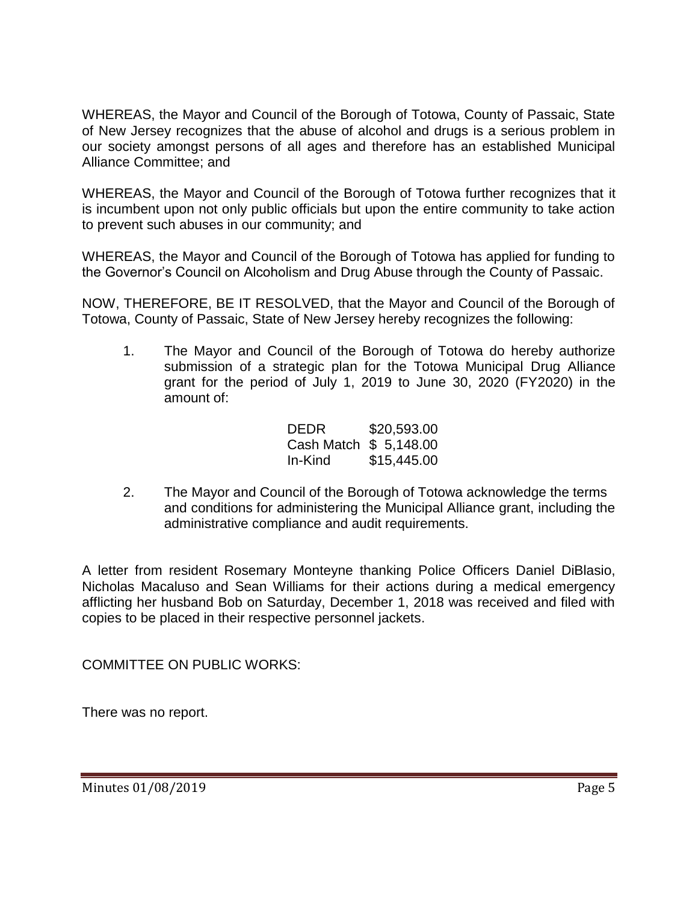WHEREAS, the Mayor and Council of the Borough of Totowa, County of Passaic, State of New Jersey recognizes that the abuse of alcohol and drugs is a serious problem in our society amongst persons of all ages and therefore has an established Municipal Alliance Committee; and

WHEREAS, the Mayor and Council of the Borough of Totowa further recognizes that it is incumbent upon not only public officials but upon the entire community to take action to prevent such abuses in our community; and

WHEREAS, the Mayor and Council of the Borough of Totowa has applied for funding to the Governor's Council on Alcoholism and Drug Abuse through the County of Passaic.

NOW, THEREFORE, BE IT RESOLVED, that the Mayor and Council of the Borough of Totowa, County of Passaic, State of New Jersey hereby recognizes the following:

1. The Mayor and Council of the Borough of Totowa do hereby authorize submission of a strategic plan for the Totowa Municipal Drug Alliance grant for the period of July 1, 2019 to June 30, 2020 (FY2020) in the amount of:

| DEDR                   | \$20,593.00 |
|------------------------|-------------|
| Cash Match \$ 5,148.00 |             |
| In-Kind                | \$15,445.00 |

2. The Mayor and Council of the Borough of Totowa acknowledge the terms and conditions for administering the Municipal Alliance grant, including the administrative compliance and audit requirements.

A letter from resident Rosemary Monteyne thanking Police Officers Daniel DiBlasio, Nicholas Macaluso and Sean Williams for their actions during a medical emergency afflicting her husband Bob on Saturday, December 1, 2018 was received and filed with copies to be placed in their respective personnel jackets.

COMMITTEE ON PUBLIC WORKS:

There was no report.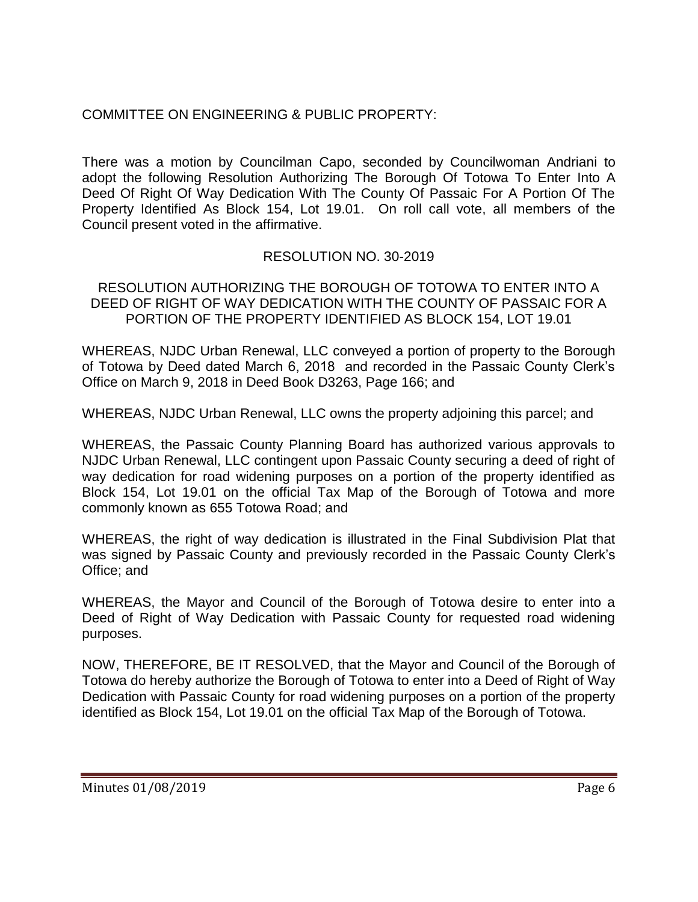# COMMITTEE ON ENGINEERING & PUBLIC PROPERTY:

There was a motion by Councilman Capo, seconded by Councilwoman Andriani to adopt the following Resolution Authorizing The Borough Of Totowa To Enter Into A Deed Of Right Of Way Dedication With The County Of Passaic For A Portion Of The Property Identified As Block 154, Lot 19.01. On roll call vote, all members of the Council present voted in the affirmative.

# RESOLUTION NO. 30-2019

### RESOLUTION AUTHORIZING THE BOROUGH OF TOTOWA TO ENTER INTO A DEED OF RIGHT OF WAY DEDICATION WITH THE COUNTY OF PASSAIC FOR A PORTION OF THE PROPERTY IDENTIFIED AS BLOCK 154, LOT 19.01

WHEREAS, NJDC Urban Renewal, LLC conveyed a portion of property to the Borough of Totowa by Deed dated March 6, 2018 and recorded in the Passaic County Clerk's Office on March 9, 2018 in Deed Book D3263, Page 166; and

WHEREAS, NJDC Urban Renewal, LLC owns the property adjoining this parcel; and

WHEREAS, the Passaic County Planning Board has authorized various approvals to NJDC Urban Renewal, LLC contingent upon Passaic County securing a deed of right of way dedication for road widening purposes on a portion of the property identified as Block 154, Lot 19.01 on the official Tax Map of the Borough of Totowa and more commonly known as 655 Totowa Road; and

WHEREAS, the right of way dedication is illustrated in the Final Subdivision Plat that was signed by Passaic County and previously recorded in the Passaic County Clerk's Office; and

WHEREAS, the Mayor and Council of the Borough of Totowa desire to enter into a Deed of Right of Way Dedication with Passaic County for requested road widening purposes.

NOW, THEREFORE, BE IT RESOLVED, that the Mayor and Council of the Borough of Totowa do hereby authorize the Borough of Totowa to enter into a Deed of Right of Way Dedication with Passaic County for road widening purposes on a portion of the property identified as Block 154, Lot 19.01 on the official Tax Map of the Borough of Totowa.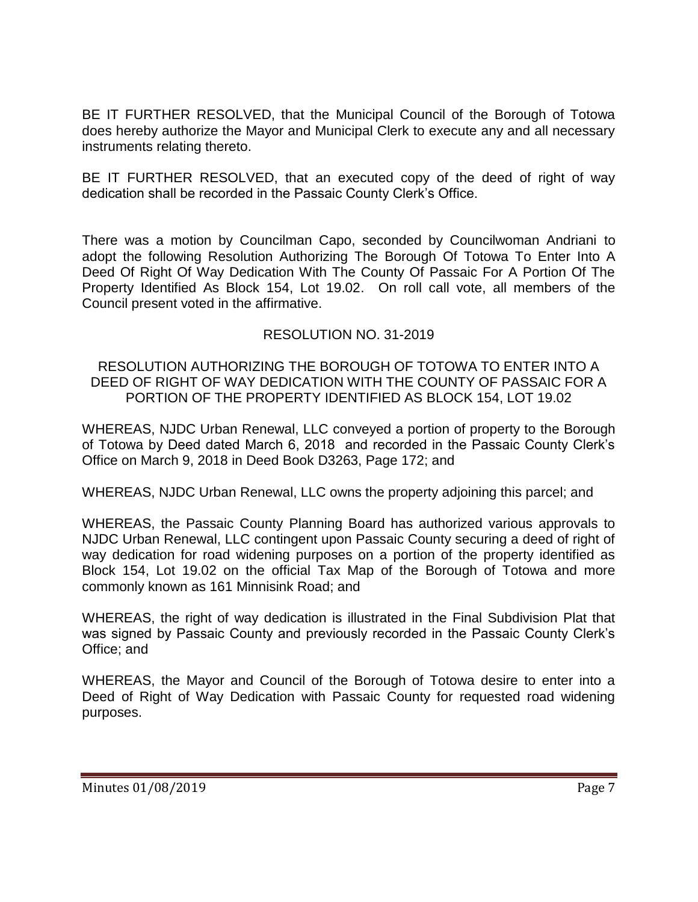BE IT FURTHER RESOLVED, that the Municipal Council of the Borough of Totowa does hereby authorize the Mayor and Municipal Clerk to execute any and all necessary instruments relating thereto.

BE IT FURTHER RESOLVED, that an executed copy of the deed of right of way dedication shall be recorded in the Passaic County Clerk's Office.

There was a motion by Councilman Capo, seconded by Councilwoman Andriani to adopt the following Resolution Authorizing The Borough Of Totowa To Enter Into A Deed Of Right Of Way Dedication With The County Of Passaic For A Portion Of The Property Identified As Block 154, Lot 19.02. On roll call vote, all members of the Council present voted in the affirmative.

## RESOLUTION NO. 31-2019

RESOLUTION AUTHORIZING THE BOROUGH OF TOTOWA TO ENTER INTO A DEED OF RIGHT OF WAY DEDICATION WITH THE COUNTY OF PASSAIC FOR A PORTION OF THE PROPERTY IDENTIFIED AS BLOCK 154, LOT 19.02

WHEREAS, NJDC Urban Renewal, LLC conveyed a portion of property to the Borough of Totowa by Deed dated March 6, 2018 and recorded in the Passaic County Clerk's Office on March 9, 2018 in Deed Book D3263, Page 172; and

WHEREAS, NJDC Urban Renewal, LLC owns the property adjoining this parcel; and

WHEREAS, the Passaic County Planning Board has authorized various approvals to NJDC Urban Renewal, LLC contingent upon Passaic County securing a deed of right of way dedication for road widening purposes on a portion of the property identified as Block 154, Lot 19.02 on the official Tax Map of the Borough of Totowa and more commonly known as 161 Minnisink Road; and

WHEREAS, the right of way dedication is illustrated in the Final Subdivision Plat that was signed by Passaic County and previously recorded in the Passaic County Clerk's Office; and

WHEREAS, the Mayor and Council of the Borough of Totowa desire to enter into a Deed of Right of Way Dedication with Passaic County for requested road widening purposes.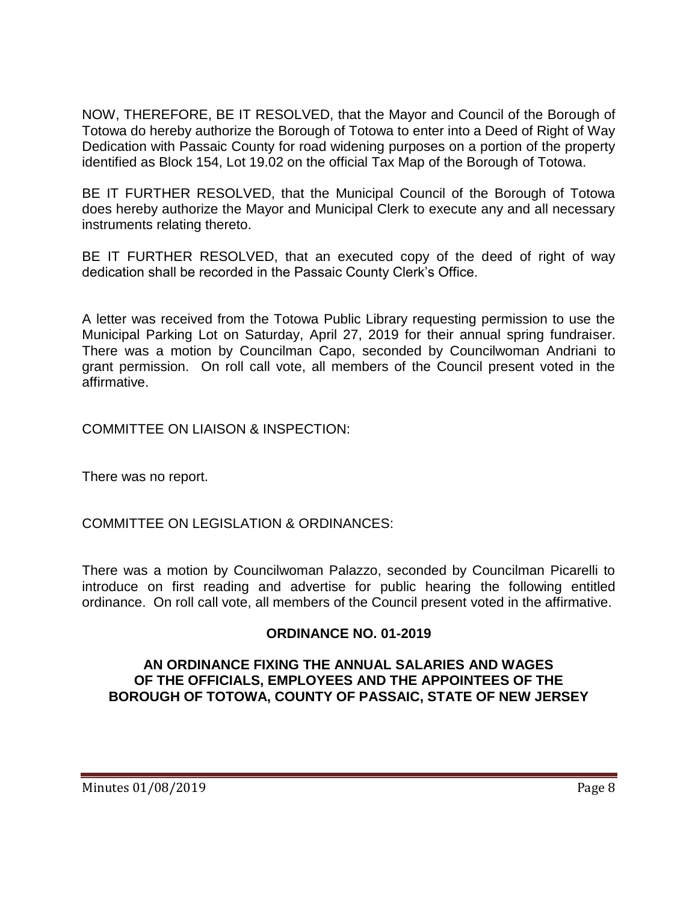NOW, THEREFORE, BE IT RESOLVED, that the Mayor and Council of the Borough of Totowa do hereby authorize the Borough of Totowa to enter into a Deed of Right of Way Dedication with Passaic County for road widening purposes on a portion of the property identified as Block 154, Lot 19.02 on the official Tax Map of the Borough of Totowa.

BE IT FURTHER RESOLVED, that the Municipal Council of the Borough of Totowa does hereby authorize the Mayor and Municipal Clerk to execute any and all necessary instruments relating thereto.

BE IT FURTHER RESOLVED, that an executed copy of the deed of right of way dedication shall be recorded in the Passaic County Clerk's Office.

A letter was received from the Totowa Public Library requesting permission to use the Municipal Parking Lot on Saturday, April 27, 2019 for their annual spring fundraiser. There was a motion by Councilman Capo, seconded by Councilwoman Andriani to grant permission. On roll call vote, all members of the Council present voted in the affirmative.

COMMITTEE ON LIAISON & INSPECTION:

There was no report.

COMMITTEE ON LEGISLATION & ORDINANCES:

There was a motion by Councilwoman Palazzo, seconded by Councilman Picarelli to introduce on first reading and advertise for public hearing the following entitled ordinance. On roll call vote, all members of the Council present voted in the affirmative.

## **ORDINANCE NO. 01-2019**

### **AN ORDINANCE FIXING THE ANNUAL SALARIES AND WAGES OF THE OFFICIALS, EMPLOYEES AND THE APPOINTEES OF THE BOROUGH OF TOTOWA, COUNTY OF PASSAIC, STATE OF NEW JERSEY**